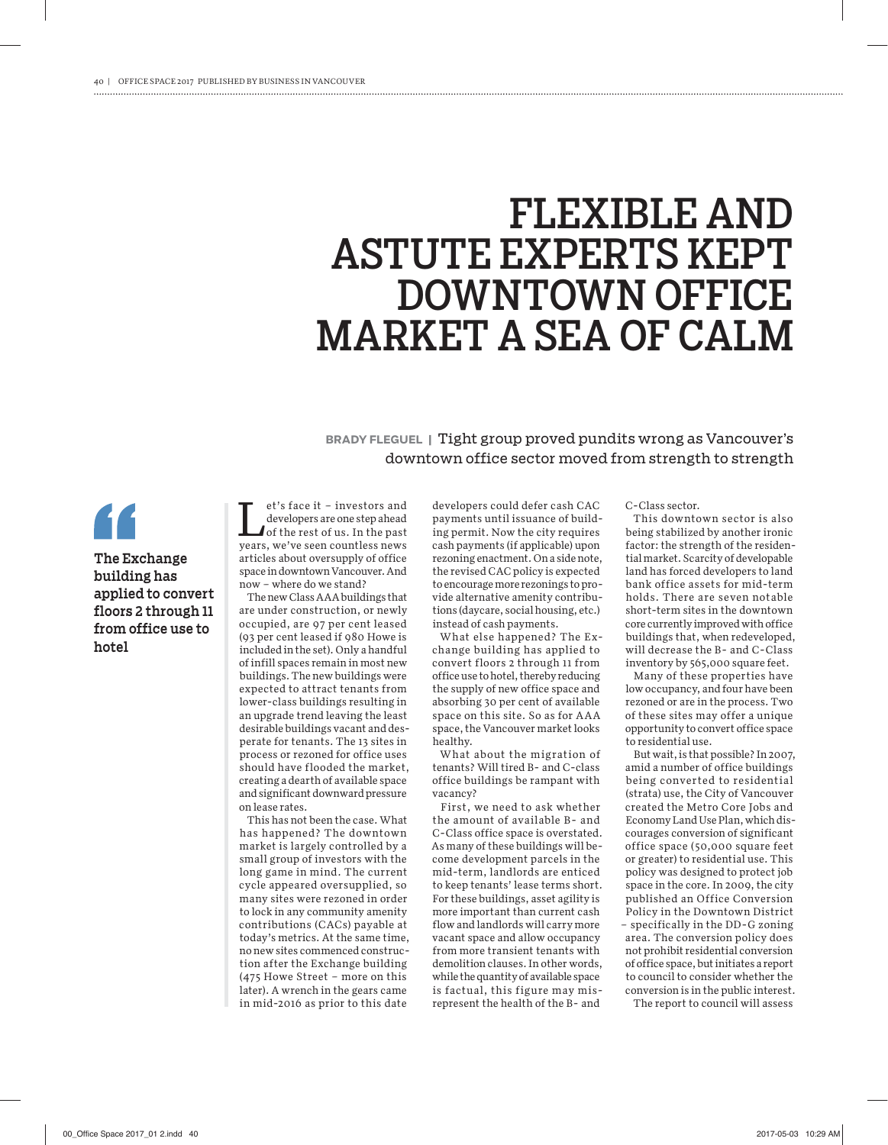## FLEXIBLE AND ASTUTE EXPERTS KEPT DOWNTOWN OFFICE MARKET A SEA OF CALM

**BRADY FLEGUEL |** Tight group proved pundits wrong as Vancouver's downtown office sector moved from strength to strength

**The Exchange building has applied to convert floors 2 through 11 from office use to hotel**

et's face it – investors and developers are one step ahead of the rest of us. In the past years, we've seen countless news articles about oversupply of office space in downtown Vancouver. And now – where do we stand?

The new Class AAA buildings that are under construction, or newly occupied, are 97 per cent leased (93 per cent leased if 980 Howe is included in the set). Only a handful of infill spaces remain in most new buildings. The new buildings were expected to attract tenants from lower-class buildings resulting in an upgrade trend leaving the least desirable buildings vacant and desperate for tenants. The 13 sites in process or rezoned for office uses should have flooded the market, creating a dearth of available space and significant downward pressure on lease rates.

This has not been the case. What has happened? The downtown market is largely controlled by a small group of investors with the long game in mind. The current cycle appeared oversupplied, so many sites were rezoned in order to lock in any community amenity contributions (CACs) payable at today's metrics. At the same time, no new sites commenced construction after the Exchange building (475 Howe Street – more on this later). A wrench in the gears came in mid-2016 as prior to this date

developers could defer cash CAC payments until issuance of building permit. Now the city requires cash payments (if applicable) upon rezoning enactment. On a side note, the revised CAC policy is expected to encourage more rezonings to provide alternative amenity contributions (daycare, social housing, etc.) instead of cash payments.

What else happened? The Exchange building has applied to convert floors 2 through 11 from office use to hotel, thereby reducing the supply of new office space and absorbing 30 per cent of available space on this site. So as for AAA space, the Vancouver market looks healthy.

What about the migration of tenants? Will tired B- and C-class office buildings be rampant with vacancy?

First, we need to ask whether the amount of available B- and C-Class office space is overstated. As many of these buildings will become development parcels in the mid-term, landlords are enticed to keep tenants' lease terms short. For these buildings, asset agility is more important than current cash flow and landlords will carry more vacant space and allow occupancy from more transient tenants with demolition clauses. In other words, while the quantity of available space is factual, this figure may misrepresent the health of the B- and

C-Class sector.

This downtown sector is also being stabilized by another ironic factor: the strength of the residential market. Scarcity of developable land has forced developers to land bank office assets for mid-term holds. There are seven notable short-term sites in the downtown core currently improved with office buildings that, when redeveloped, will decrease the B- and C-Class inventory by 565,000 square feet.

Many of these properties have low occupancy, and four have been rezoned or are in the process. Two of these sites may offer a unique opportunity to convert office space to residential use.

But wait, is that possible? In 2007, amid a number of office buildings being converted to residential (strata) use, the City of Vancouver created the Metro Core Jobs and Economy Land Use Plan, which discourages conversion of significant office space (50,000 square feet or greater) to residential use. This policy was designed to protect job space in the core. In 2009, the city published an Office Conversion Policy in the Downtown District – specifically in the DD-G zoning area. The conversion policy does not prohibit residential conversion of office space, but initiates a report to council to consider whether the conversion is in the public interest.

The report to council will assess